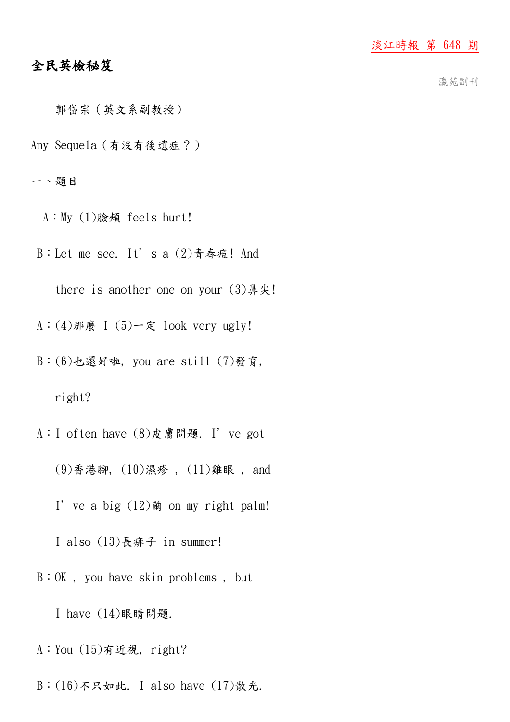#### 淡江時報 第 648 期

# 全民英檢秘笈

瀛苑副刊

- 郭岱宗(英文系副教授)
- Any Sequela(有沒有後遺症?)

一、題目

- A: My (1)臉頰 feels hurt!
- B:Let me see. It's a (2)青春痘! And

there is another one on your  $(3)$   $\frac{1}{2}$  尖!

- A:(4)那麼 I (5)一定 look very ugly!
- B:(6)也還好啦, you are still (7)發育,

### right?

- A:I often have (8)皮膚問題. I've got
	- (9)香港腳, (10)濕疹 , (11)雞眼 , and
	- I' ve a big  $(12)$ 繭 on my right palm!

I also (13)長痱子 in summer!

B:OK , you have skin problems , but

I have (14)眼睛問題.

- A:You (15)有近視, right?
- B:(16)不只如此. I also have (17)散光.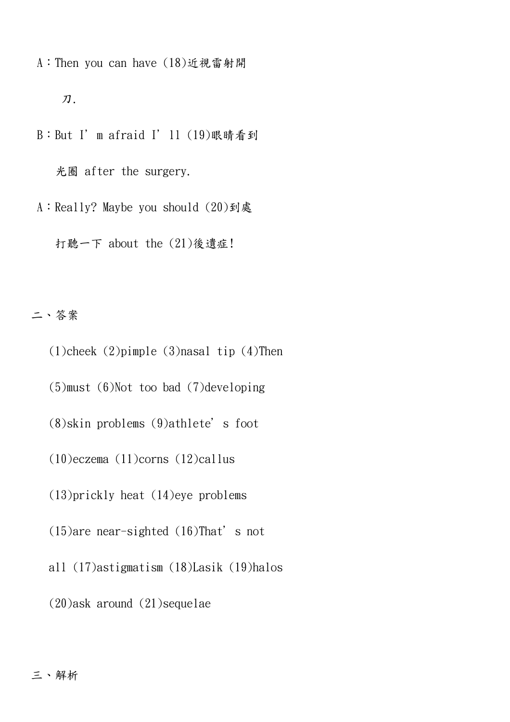A:Then you can have (18)近視雷射開

刀.

B:But I'm afraid I'll (19)眼睛看到

光圈 after the surgery.

A: Really? Maybe you should (20)到處

打聽一下 about the (21)後遺症!

### 二、答案

(1)cheek (2)pimple (3)nasal tip (4)Then

(5)must (6)Not too bad (7)developing

(8)skin problems (9)athlete's foot

(10)eczema (11)corns (12)callus

(13)prickly heat (14)eye problems

 $(15)$ are near-sighted  $(16)$ That's not

all (17)astigmatism (18)Lasik (19)halos

(20)ask around (21)sequelae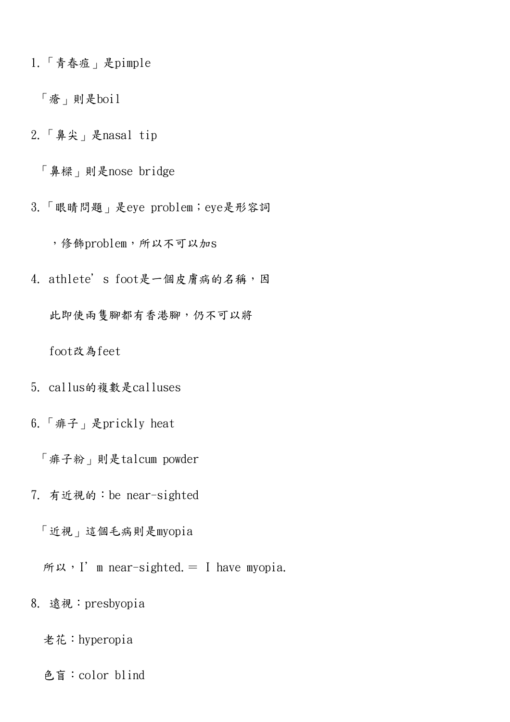- 1.「青春痘」是pimple
	- 「瘡」則是boil
- 2.「鼻尖」是nasal tip

「鼻樑」則是nose bridge

3.「眼睛問題」是eye problem;eye是形容詞

,修飾problem,所以不可以加s

4. athlete's foot是一個皮膚病的名稱,因

此即使兩隻腳都有香港腳,仍不可以將

foot改為feet

- 5. callus的複數是calluses
- 6.「痱子」是prickly heat

「痱子粉」則是talcum powder

7. 有近視的:be near-sighted

「近視」這個毛病則是myopia

 $M \times I'$  m near-sighted.  $=$  I have myopia.

8. 遠視:presbyopia

老花:hyperopia

色盲:color blind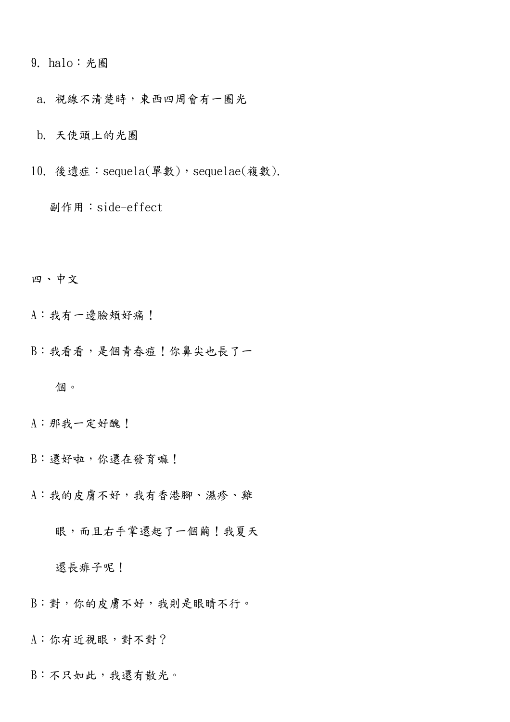- 9. halo:光圈
- a. 視線不清楚時,東西四周會有一圈光
- b. 天使頭上的光圈
- 10. 後遺症:sequela(單數),sequelae(複數).

副作用:side-effect

四、中文

- A:我有一邊臉頰好痛!
- B:我看看,是個青春痘!你鼻尖也長了一

個。

A:那我一定好醜!

B:還好啦,你還在發育嘛!

A:我的皮膚不好,我有香港腳、濕疹、雞

眼,而且右手掌還起了一個繭!我夏天

還長痱子呢!

B:對,你的皮膚不好,我則是眼睛不行。

A:你有近視眼,對不對?

B:不只如此,我還有散光。